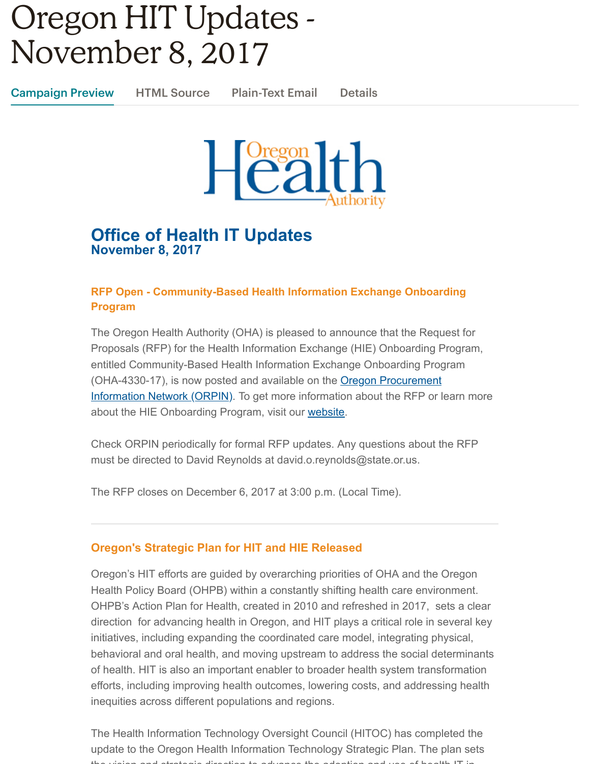# Oregon HIT Updates - November 8, 2017

Campaign Preview HTML Source Plain-Text Email Details



## **Office of Health IT Updates November 8, 2017**

#### **RFP Open - Community-Based Health Information Exchange Onboarding Program**

The Oregon Health Authority (OHA) is pleased to announce that the Request for Proposals (RFP) for the Health Information Exchange (HIE) Onboarding Program, entitled Community-Based Health Information Exchange Onboarding Program (OHA-4330-17), is now posted and available on the **Oregon Procurement** Information Network (ORPIN). To get more information about the RFP or learn more about the HIE Onboarding Program, visit our [website.](http://www.oregon.gov/oha/HPA/OHIT/Pages/HIE-Onboarding-RFP.aspx)

Check ORPIN periodically for formal RFP updates. Any questions about the RFP must be directed to David Reynolds at david.o.reynolds@state.or.us.

The RFP closes on December 6, 2017 at 3:00 p.m. (Local Time).

### **Oregon's Strategic Plan for HIT and HIE Released**

Oregon's HIT efforts are guided by overarching priorities of OHA and the Oregon Health Policy Board (OHPB) within a constantly shifting health care environment. OHPB's Action Plan for Health, created in 2010 and refreshed in 2017, sets a clear direction for advancing health in Oregon, and HIT plays a critical role in several key initiatives, including expanding the coordinated care model, integrating physical, behavioral and oral health, and moving upstream to address the social determinants of health. HIT is also an important enabler to broader health system transformation efforts, including improving health outcomes, lowering costs, and addressing health inequities across different populations and regions.

The Health Information Technology Oversight Council (HITOC) has completed the update to the Oregon Health Information Technology Strategic Plan. The plan sets the vision and strategic direction to advance the adoption and use of health IT in